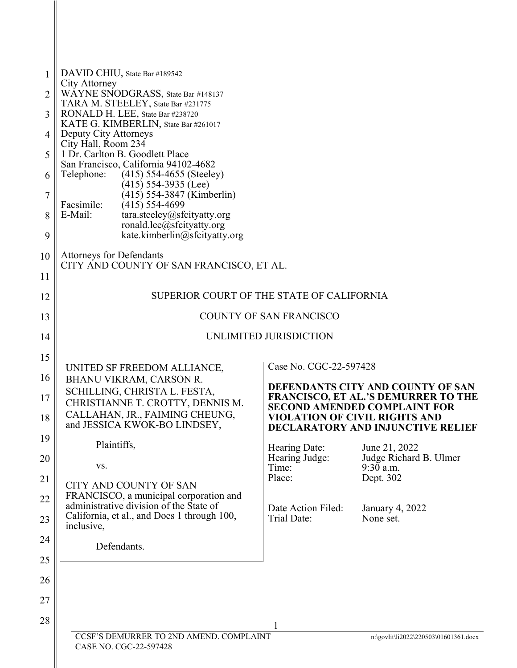| 1<br>$\overline{2}$<br>3 | DAVID CHIU, State Bar #189542<br>City Attorney<br>WAYNE SNODGRASS, State Bar #148137<br>TARA M. STEELEY, State Bar #231775<br>RONALD H. LEE, State Bar #238720<br>KATE G. KIMBERLIN, State Bar #261017 |                         |                                                                                                                         |
|--------------------------|--------------------------------------------------------------------------------------------------------------------------------------------------------------------------------------------------------|-------------------------|-------------------------------------------------------------------------------------------------------------------------|
| 4                        | Deputy City Attorneys<br>City Hall, Room 234                                                                                                                                                           |                         |                                                                                                                         |
| 5                        | 1 Dr. Carlton B. Goodlett Place<br>San Francisco, California 94102-4682                                                                                                                                |                         |                                                                                                                         |
| 6                        | Telephone:<br>$(415)$ 554-4655 (Steeley)<br>$(415)$ 554-3935 (Lee)                                                                                                                                     |                         |                                                                                                                         |
| 7                        | (415) 554-3847 (Kimberlin)<br>Facsimile:<br>$(415)$ 554-4699                                                                                                                                           |                         |                                                                                                                         |
| 8<br>9                   | E-Mail:<br>tara.steeley@sfcityatty.org<br>ronald.lee@sfcityatty.org<br>kate.kimberlin@sfcityatty.org                                                                                                   |                         |                                                                                                                         |
| 10                       | <b>Attorneys for Defendants</b>                                                                                                                                                                        |                         |                                                                                                                         |
| 11                       | CITY AND COUNTY OF SAN FRANCISCO, ET AL.                                                                                                                                                               |                         |                                                                                                                         |
| 12                       | SUPERIOR COURT OF THE STATE OF CALIFORNIA                                                                                                                                                              |                         |                                                                                                                         |
| 13                       | <b>COUNTY OF SAN FRANCISCO</b>                                                                                                                                                                         |                         |                                                                                                                         |
| 14                       | UNLIMITED JURISDICTION                                                                                                                                                                                 |                         |                                                                                                                         |
| 15                       |                                                                                                                                                                                                        | Case No. CGC-22-597428  |                                                                                                                         |
| 16                       | UNITED SF FREEDOM ALLIANCE,<br>BHANU VIKRAM, CARSON R.                                                                                                                                                 |                         |                                                                                                                         |
| 17                       | SCHILLING, CHRISTA L. FESTA,<br>CHRISTIANNE T. CROTTY, DENNIS M.                                                                                                                                       |                         | DEFENDANTS CITY AND COUNTY OF SAN<br><b>FRANCISCO, ET AL.'S DEMURRER TO THE</b>                                         |
| 18                       | CALLAHAN, JR., FAIMING CHEUNG,<br>and JESSICA KWOK-BO LINDSEY,                                                                                                                                         |                         | <b>SECOND AMENDED COMPLAINT FOR</b><br><b>VIOLATION OF CIVIL RIGHTS AND</b><br><b>DECLARATORY AND INJUNCTIVE RELIEF</b> |
| 19                       | Plaintiffs,                                                                                                                                                                                            | Hearing Date:           | June 21, 2022                                                                                                           |
| 20                       | VS.                                                                                                                                                                                                    | Hearing Judge:<br>Time: | Judge Richard B. Ulmer<br>9:30 a.m.                                                                                     |
| 21                       | CITY AND COUNTY OF SAN                                                                                                                                                                                 | Place:                  | Dept. 302                                                                                                               |
| 22                       | FRANCISCO, a municipal corporation and<br>administrative division of the State of                                                                                                                      | Date Action Filed:      | <b>January 4, 2022</b>                                                                                                  |
| 23                       | California, et al., and Does 1 through 100,<br>inclusive,                                                                                                                                              | Trial Date:             | None set.                                                                                                               |
| 24                       | Defendants.                                                                                                                                                                                            |                         |                                                                                                                         |
| 25                       |                                                                                                                                                                                                        |                         |                                                                                                                         |
| 26                       |                                                                                                                                                                                                        |                         |                                                                                                                         |
| 27                       |                                                                                                                                                                                                        |                         |                                                                                                                         |
| 28                       |                                                                                                                                                                                                        |                         |                                                                                                                         |
|                          | CCSF'S DEMURRER TO 2ND AMEND. COMPLAINT<br>n:\govlit\li2022\220503\01601361.docx<br>CASE NO. CGC-22-597428                                                                                             |                         |                                                                                                                         |
|                          |                                                                                                                                                                                                        |                         |                                                                                                                         |